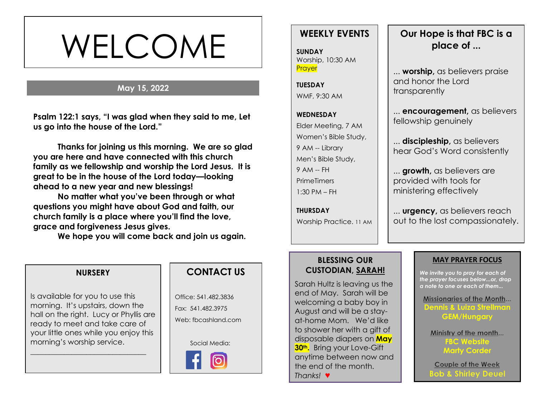# WELCOME

### **May 15, 2022**

**s Psalm 122:1 says, "I was glad when they said to me, Let us go into the house of the Lord."**

**Thanks for joining us this morning. We are so glad you are here and have connected with this church family as we fellowship and worship the Lord Jesus. It is great to be in the house of the Lord today—looking ahead to a new year and new blessings!** 

**No matter what you've been through or what questions you might have about God and faith, our church family is a place where you'll find the love, grace and forgiveness Jesus gives.**

**We hope you will come back and join us again.**

# **WEEKLY EVENTS**

**SUNDAY** Worship, 10:30 AM **Prayer** 

**TUESDAY** WMF, 9:30 AM

**WEDNESDAY** Elder Meeting, 7 AM Women's Bible Study, 9 AM -- Library Men's Bible Study, 9 AM -- FH **PrimeTimers** 1:30 PM – FH

**THURSDAY** Worship Practice. 11 AM

# **Our Hope is that FBC is a place of ...**

... **worship,** as believers praise and honor the Lord transparently

... **encouragement,** as believers fellowship genuinely

... **discipleship,** as believers hear God's Word consistently

... **growth,** as believers are provided with tools for ministering effectively

... **urgency,** as believers reach out to the lost compassionately.

#### **BLESSING OUR CUSTODIAN, SARAH!**

Sarah Hultz is leaving us the end of May. Sarah will be welcoming a baby boy in August and will be a stayat-home Mom. We'd like to shower her with a gift of disposable diapers on **May 30th.** Bring your Love-Gift anytime between now and the end of the month. *Thanks!* ♥

#### **MAY PRAYER FOCUS**

*We invite you to pray for each of the prayer focuses below...or, drop a note to one or each of them...*

Missionaries of the Month... **Dennis & Luiza Strellman GEM/Hungary**

Ministry of the month... **FBC Website Marty Corder**

Couple of the Week **Bob & Shirley Deue** 

#### **NURSERY**

Is available for you to use this morning. It's upstairs, down the hall on the right. Lucy or Phyllis are ready to meet and take care of your little ones while you enjoy this morning's worship service.

\_\_\_\_\_\_\_\_\_\_\_\_\_\_\_\_\_\_\_\_\_\_\_\_\_\_\_\_\_\_\_

# **CONTACT US**

Office: 541.482.3836 Fax: 541.482.3975 Web: fbcashland.com

Social Media: